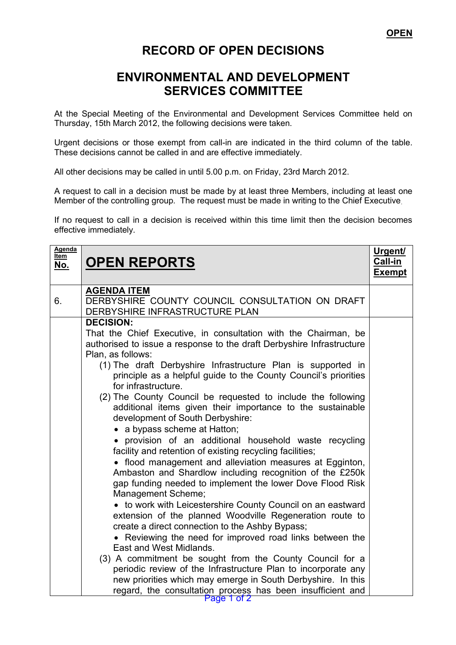## **RECORD OF OPEN DECISIONS**

## **ENVIRONMENTAL AND DEVELOPMENT SERVICES COMMITTEE**

At the Special Meeting of the Environmental and Development Services Committee held on Thursday, 15th March 2012, the following decisions were taken.

Urgent decisions or those exempt from call-in are indicated in the third column of the table. These decisions cannot be called in and are effective immediately.

All other decisions may be called in until 5.00 p.m. on Friday, 23rd March 2012.

A request to call in a decision must be made by at least three Members, including at least one Member of the controlling group. The request must be made in writing to the Chief Executive.

If no request to call in a decision is received within this time limit then the decision becomes effective immediately.

| Agenda<br><u>Item</u><br><u>No.</u> | <b>OPEN REPORTS</b>                                                                                                                                                                                                                                                                                                                                                                                                                                                                                                                                                                                                                                                                                                                                                                                                                                                                                                                                                                                                                                                                                                                                                                                                                                                                                                                                                                                            | Urgent/<br>Call-in<br><b>Exempt</b> |
|-------------------------------------|----------------------------------------------------------------------------------------------------------------------------------------------------------------------------------------------------------------------------------------------------------------------------------------------------------------------------------------------------------------------------------------------------------------------------------------------------------------------------------------------------------------------------------------------------------------------------------------------------------------------------------------------------------------------------------------------------------------------------------------------------------------------------------------------------------------------------------------------------------------------------------------------------------------------------------------------------------------------------------------------------------------------------------------------------------------------------------------------------------------------------------------------------------------------------------------------------------------------------------------------------------------------------------------------------------------------------------------------------------------------------------------------------------------|-------------------------------------|
| 6.                                  | <b>AGENDA ITEM</b><br>DERBYSHIRE COUNTY COUNCIL CONSULTATION ON DRAFT<br>DERBYSHIRE INFRASTRUCTURE PLAN                                                                                                                                                                                                                                                                                                                                                                                                                                                                                                                                                                                                                                                                                                                                                                                                                                                                                                                                                                                                                                                                                                                                                                                                                                                                                                        |                                     |
|                                     | <b>DECISION:</b><br>That the Chief Executive, in consultation with the Chairman, be<br>authorised to issue a response to the draft Derbyshire Infrastructure<br>Plan, as follows:<br>(1) The draft Derbyshire Infrastructure Plan is supported in<br>principle as a helpful guide to the County Council's priorities<br>for infrastructure.<br>(2) The County Council be requested to include the following<br>additional items given their importance to the sustainable<br>development of South Derbyshire:<br>• a bypass scheme at Hatton;<br>• provision of an additional household waste recycling<br>facility and retention of existing recycling facilities;<br>• flood management and alleviation measures at Egginton,<br>Ambaston and Shardlow including recognition of the £250k<br>gap funding needed to implement the lower Dove Flood Risk<br>Management Scheme;<br>• to work with Leicestershire County Council on an eastward<br>extension of the planned Woodville Regeneration route to<br>create a direct connection to the Ashby Bypass;<br>• Reviewing the need for improved road links between the<br>East and West Midlands.<br>(3) A commitment be sought from the County Council for a<br>periodic review of the Infrastructure Plan to incorporate any<br>new priorities which may emerge in South Derbyshire. In this<br>regard, the consultation process has been insufficient and |                                     |